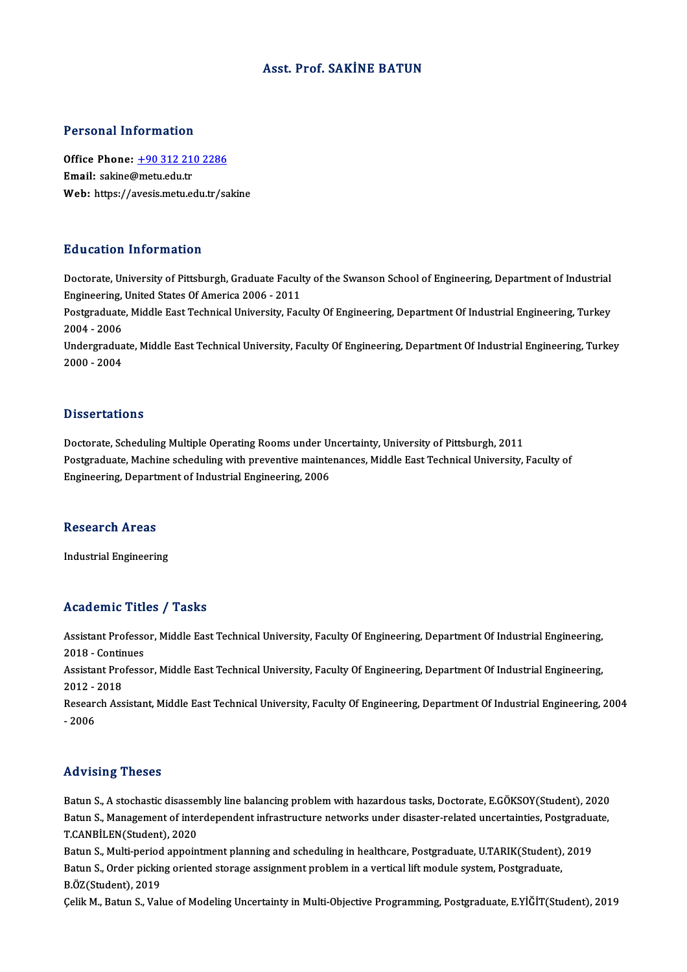### Asst. Prof. SAKİNE BATUN

### Personal Information

Office Phone: +90 312 210 2286 Email: sakine@metu.edu.tr Web: https://a[vesis.metu.edu.tr/sa](tel:+90 312 210 2286)kine

## Education Information

Doctorate, University of Pittsburgh, Graduate Faculty of the Swanson School of Engineering, Department of Industrial Engineering, University of Pittsburgh, Graduate Facult<br>Engineering, United States Of America 2006 - 2011<br>Postsraduate Middle Fast Technical University, Fac Doctorate, University of Pittsburgh, Graduate Faculty of the Swanson School of Engineering, Department of Industrial<br>Engineering, United States Of America 2006 - 2011<br>Postgraduate, Middle East Technical University, Faculty

Engineering,<br>Postgraduate<br>2004 - 2006<br>Undergradua Postgraduate, Middle East Technical University, Faculty Of Engineering, Department Of Industrial Engineering, Turkey<br>2004 - 2006<br>Undergraduate, Middle East Technical University, Faculty Of Engineering, Department Of Indust

2004 - 2006<br>Undergraduate, Middle East Technical University, Faculty Of Engineering, Department Of Industrial Engineering, Turkey<br>2000 - 2004

## **Dissertations**

Dissertations<br>Doctorate, Scheduling Multiple Operating Rooms under Uncertainty, University of Pittsburgh, 2011<br>Postsraduate Mashine scheduling uith proventive maintenances. Middle Fest Technical University Postgraduate, Machine scheduling with preventive maintenances, Middle East Technical University, Faculty of Engineering, Department of Industrial Engineering, 2006 Doctorate, Scheduling Multiple Operating Rooms under U<br>Postgraduate, Machine scheduling with preventive mainte<br>Engineering, Department of Industrial Engineering, 2006

#### Research Areas

Industrial Engineering

## Academic Titles / Tasks

Academic Titles / Tasks<br>Assistant Professor, Middle East Technical University, Faculty Of Engineering, Department Of Industrial Engineering,<br>2018 - Continues Assistant Professo<br>2018 - Continues<br>Assistant Professo Assistant Professor, Middle East Technical University, Faculty Of Engineering, Department Of Industrial Engineering,<br>2018 - Continues<br>Assistant Professor, Middle East Technical University, Faculty Of Engineering, Departmen

2018 - Contin<br>Assistant Pro<br>2012 - 2018<br>Besearsh Ass

Assistant Professor, Middle East Technical University, Faculty Of Engineering, Department Of Industrial Engineering,<br>2012 - 2018<br>Research Assistant, Middle East Technical University, Faculty Of Engineering, Department Of I 2012 -<br>Resear<br>- 2006

## Advising Theses

Advising Theses<br>Batun S., A stochastic disassembly line balancing problem with hazardous tasks, Doctorate, E.GÖKSOY(Student), 2020<br>Patun S. Managament of interdependent infrastrugture naturalis under disaster related uncer rta viering Triesees<br>Batun S., A stochastic disassembly line balancing problem with hazardous tasks, Doctorate, E.GÖKSOY(Student), 2020<br>Batun S., Management of interdependent infrastructure networks under disaster-related Batun S., A stochastic disasser<br>Batun S., Management of inte<br>T.CANBİLEN(Student), 2020<br>Patun S. Multi poriod annoin Batun S., Management of interdependent infrastructure networks under disaster-related uncertainties, Postgraduate, T.CANBİLEN(Student), 2020<br>Batun S., Multi-period appointment planning and scheduling in healthcare, Postgra

T.CANBİLEN(Student), 2020<br>Batun S., Multi-period appointment planning and scheduling in healthcare, Postgraduate, U.TARIK(Student),<br>Batun S., Order picking oriented storage assignment problem in a vertical lift module syst Batun S., Multi-period<br>Batun S., Order pickin<br>B.ÖZ(Student), 2019<br>Celik M. Batun S. Veli

B.ÖZ(Student), 2019<br>Çelik M., Batun S., Value of Modeling Uncertainty in Multi-Objective Programming, Postgraduate, E.YİĞİT(Student), 2019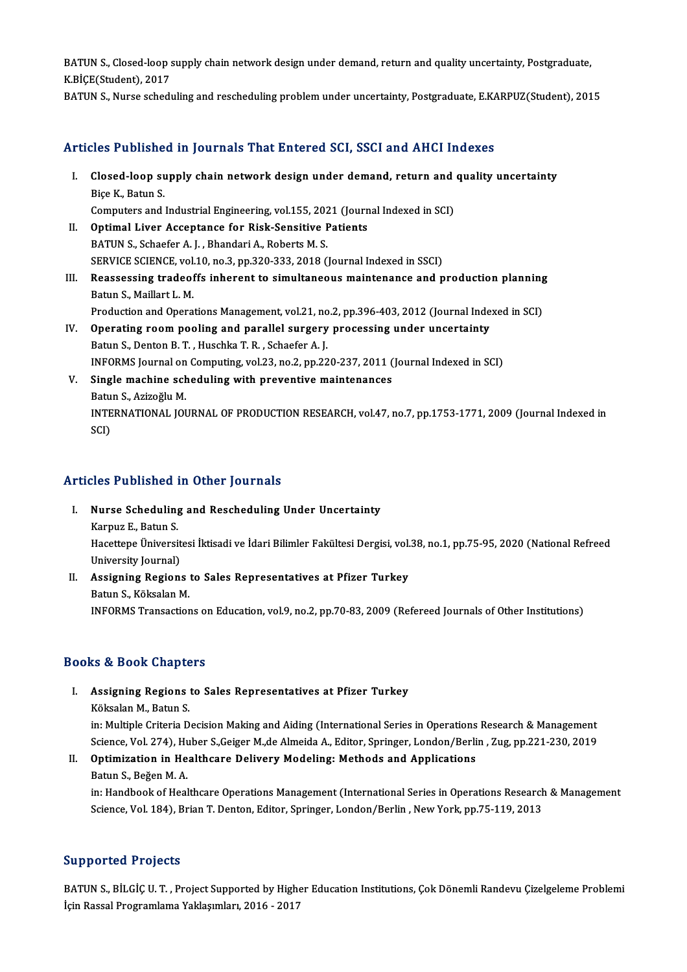BATUN S., Closed-loop supply chain network design under demand, return and quality uncertainty, Postgraduate,<br>K.RiCE(Student), 2017 **BATUN S., Closed-loop s**<br>K.BİÇE(Student), 2017<br>BATUN S. Nurse sebadı BATUN S., Closed-loop supply chain network design under demand, return and quality uncertainty, Postgraduate,<br>K.BİÇE(Student), 2017<br>BATUN S., Nurse scheduling and rescheduling problem under uncertainty, Postgraduate, E.KAR

BATUN S., Nurse scheduling and rescheduling problem under uncertainty, Postgraduate, E.KARPUZ(Student), 2015<br>Articles Published in Journals That Entered SCI, SSCI and AHCI Indexes

rticles Published in Journals That Entered SCI, SSCI and AHCI Indexes<br>I. Closed-loop supply chain network design under demand, return and quality uncertainty<br>Rise K. Batun S. res 1 assiste<br>Closed-loop su<br>Biçe K., Batun S.<br>Computers and Closed-loop supply chain network design under demand, return and<br>Biçe K., Batun S.<br>Computers and Industrial Engineering, vol.155, 2021 (Journal Indexed in SCI)<br>Ontimel Liver Assentance for Bisk Sonsitive Batients Biçe K., Batun S.<br>Computers and Industrial Engineering, vol.155, 2021 (Journal Indexed in SCI)<br>II. Optimal Liver Acceptance for Risk-Sensitive Patients BATUN S., Schaefer A. J., Bhandari A., Roberts M. S. Optimal Liver Acceptance for Risk-Sensitive Patients<br>BATUN S., Schaefer A. J. , Bhandari A., Roberts M. S.<br>SERVICE SCIENCE, vol.10, no.3, pp.320-333, 2018 (Journal Indexed in SSCI)<br>Besessessing trades ffs inherent to simul BATUN S., Schaefer A. J. , Bhandari A., Roberts M. S.<br>SERVICE SCIENCE, vol.10, no.3, pp.320-333, 2018 (Journal Indexed in SSCI)<br>III. Reassessing tradeoffs inherent to simultaneous maintenance and production planning<br>Patur SERVICE SCIENCE, vol.<br>Reassessing tradeof<br>Batun S., Maillart L. M.<br>Production and Opera Reassessing tradeoffs inherent to simultaneous maintenance and production planning<br>Batun S., Maillart L. M.<br>Production and Operations Management, vol.21, no.2, pp.396-403, 2012 (Journal Indexed in SCI)<br>Operating neam pooli Batun S., Maillart L. M.<br>Production and Operations Management, vol.21, no.2, pp.396-403, 2012 (Journal Inde<br>IV. Operating room pooling and parallel surgery processing under uncertainty<br>Ratur S. Dantan B. T. Huschka T. B. S Production and Operations Management, vol.21, no.2, pp.396-403, 2012 (Journal Indexed in SCI)<br>Operating room pooling and parallel surgery processing under uncertainty<br>Batun S., Denton B. T. , Huschka T. R. , Schaefer A. J. Operating room pooling and parallel surgery processing under uncertainty<br>Batun S., Denton B. T. , Huschka T. R. , Schaefer A. J.<br>INFORMS Journal on Computing, vol.23, no.2, pp.220-237, 2011 (Journal Indexed in SCI)<br>Single V. Single machine scheduling with preventive maintenances INFORMS Journal on<br>Single machine sch<br>Batun S., Azizoğlu M.<br>INTERNATIONAL JOL

INTERNATIONAL JOURNAL OF PRODUCTION RESEARCH, vol.47, no.7, pp.1753-1771, 2009 (Journal Indexed in SCI) Batu<br>INTE<br>SCI)

# Articles Published in Other Journals

- **Tricles Published in Other Journals<br>I. Nurse Scheduling and Rescheduling Under Uncertainty** Nurse Scheduling<br>Nurse Scheduling<br>Karpuz E., Batun S.<br>Hacettane Üniversi Nurse Scheduling and Rescheduling Under Uncertainty<br>Karpuz E., Batun S.<br>Hacettepe Üniversitesi İktisadi ve İdari Bilimler Fakültesi Dergisi, vol.38, no.1, pp.75-95, 2020 (National Refreed Karpuz E., Batun S.<br>Hacettepe Üniversit<br>University Journal)<br>Accianing Bogion Hacettepe Üniversitesi İktisadi ve İdari Bilimler Fakültesi Dergisi, vol.<br>University Journal)<br>II. Assigning Regions to Sales Representatives at Pfizer Turkey<br>Petup S. Költeelen M
- University Journal)<br>Assigning Regions<br>Batun S., Köksalan M.<br>INFOPMS Transaction Batun S., Köksalan M.<br>INFORMS Transactions on Education, vol.9, no.2, pp.70-83, 2009 (Refereed Journals of Other Institutions)

# Books&Book Chapters

- ooks & Book Chapters<br>I. Assigning Regions to Sales Representatives at Pfizer Turkey<br>Kökselan M. Patur S Köksalan M., Batun S.<br>Köksalan M., Batun S.<br>in: Multinle Criteria D. Assigning Regions to Sales Representatives at Pfizer Turkey<br>Köksalan M., Batun S.<br>in: Multiple Criteria Decision Making and Aiding (International Series in Operations Research & Management<br>Science Vel 274), Huber S. Ceiger Köksalan M., Batun S.<br>in: Multiple Criteria Decision Making and Aiding (International Series in Operations Research & Management<br>Science, Vol. 274), Huber S.,Geiger M.,de Almeida A., Editor, Springer, London/Berlin , Zug,
- in: Multiple Criteria Decision Making and Aiding (International Series in Operations<br>Science, Vol. 274), Huber S.,Geiger M.,de Almeida A., Editor, Springer, London/Berli<br>II. Optimization in Healthcare Delivery Modeling: Me Science, Vol. 274), Huber S., Geiger M., de Almeida A., Editor, Springer, London/Berlin , Zug, pp.221-230, 2019<br>II. Optimization in Healthcare Delivery Modeling: Methods and Applications<br>Batun S., Beğen M. A. Optimization in Healthcare Delivery Modeling: Methods and Applications<br>Batun S., Beğen M. A.<br>in: Handbook of Healthcare Operations Management (International Series in Operations Research & Management<br>Sejange Vel 194), Pria

Batun S., Beğen M. A.<br>in: Handbook of Healthcare Operations Management (International Series in Operations Research<br>Science, Vol. 184), Brian T. Denton, Editor, Springer, London/Berlin , New York, pp.75-119, 2013 Science, Vol. 184), Brian T. Denton, Editor, Springer, London/Berlin , New York, pp.75-119, 2013<br>Supported Projects

Supported Projects<br>BATUN S., BİLGİÇ U. T. , Project Supported by Higher Education Institutions, Çok Dönemli Randevu Çizelgeleme Problemi<br>İsin Bassal Programlama Vaklasımları, 2016, 2017 BATUN S., BİLGİÇ U. T. , Project Supported by Highe<br>BATUN S., BİLGİÇ U. T. , Project Supported by Highe<br>İçin Rassal Programlama Yaklaşımları, 2016 - 2017